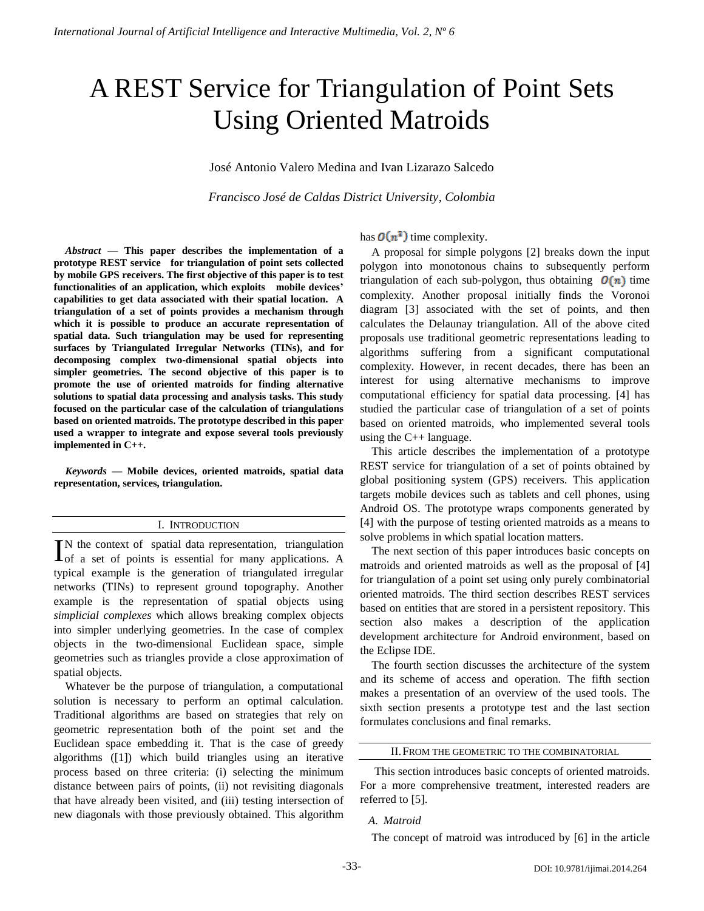# A REST Service for Triangulation of Point Sets Using Oriented Matroids

José Antonio Valero Medina and Ivan Lizarazo Salcedo

*Francisco José de Caldas District University, Colombia*

*Abstract* **— This paper describes the implementation of a prototype REST service for triangulation of point sets collected by mobile GPS receivers. The first objective of this paper is to test functionalities of an application, which exploits mobile devices' capabilities to get data associated with their spatial location. A triangulation of a set of points provides a mechanism through which it is possible to produce an accurate representation of spatial data. Such triangulation may be used for representing surfaces by Triangulated Irregular Networks (TINs), and for decomposing complex two-dimensional spatial objects into simpler geometries. The second objective of this paper is to promote the use of oriented matroids for finding alternative solutions to spatial data processing and analysis tasks. This study focused on the particular case of the calculation of triangulations based on oriented matroids. The prototype described in this paper used a wrapper to integrate and expose several tools previously implemented in C++.**

*Keywords* **— Mobile devices, oriented matroids, spatial data representation, services, triangulation.**

## I. INTRODUCTION

N the context of spatial data representation, triangulation IN the context of spatial data representation, triangulation of a set of points is essential for many applications. A typical example is the generation of triangulated irregular networks (TINs) to represent ground topography. Another example is the representation of spatial objects using *simplicial complexes* which allows breaking complex objects into simpler underlying geometries. In the case of complex objects in the two-dimensional Euclidean space, simple geometries such as triangles provide a close approximation of spatial objects.

Whatever be the purpose of triangulation, a computational solution is necessary to perform an optimal calculation. Traditional algorithms are based on strategies that rely on geometric representation both of the point set and the Euclidean space embedding it. That is the case of greedy algorithms ([1]) which build triangles using an iterative process based on three criteria: (i) selecting the minimum distance between pairs of points, (ii) not revisiting diagonals that have already been visited, and (iii) testing intersection of new diagonals with those previously obtained. This algorithm

has  $\mathbf{O}(n^3)$  time complexity.

A proposal for simple polygons [2] breaks down the input polygon into monotonous chains to subsequently perform triangulation of each sub-polygon, thus obtaining  $\mathcal{O}(n)$  time complexity. Another proposal initially finds the Voronoi diagram [3] associated with the set of points, and then calculates the Delaunay triangulation. All of the above cited proposals use traditional geometric representations leading to algorithms suffering from a significant computational complexity. However, in recent decades, there has been an interest for using alternative mechanisms to improve computational efficiency for spatial data processing. [4] has studied the particular case of triangulation of a set of points based on oriented matroids, who implemented several tools using the C++ language.

This article describes the implementation of a prototype REST service for triangulation of a set of points obtained by global positioning system (GPS) receivers. This application targets mobile devices such as tablets and cell phones, using Android OS. The prototype wraps components generated by [4] with the purpose of testing oriented matroids as a means to solve problems in which spatial location matters.

The next section of this paper introduces basic concepts on matroids and oriented matroids as well as the proposal of [4] for triangulation of a point set using only purely combinatorial oriented matroids. The third section describes REST services based on entities that are stored in a persistent repository. This section also makes a description of the application development architecture for Android environment, based on the Eclipse IDE.

The fourth section discusses the architecture of the system and its scheme of access and operation. The fifth section makes a presentation of an overview of the used tools. The sixth section presents a prototype test and the last section formulates conclusions and final remarks.

## II.FROM THE GEOMETRIC TO THE COMBINATORIAL

This section introduces basic concepts of oriented matroids. For a more comprehensive treatment, interested readers are referred to [5].

# *A. Matroid*

The concept of matroid was introduced by [6] in the article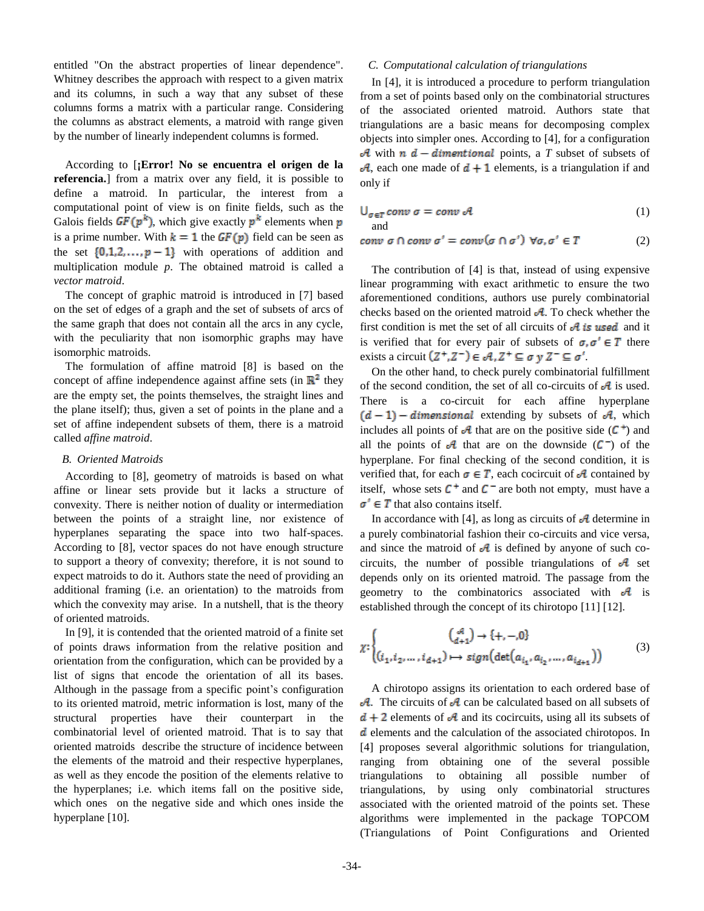entitled "On the abstract properties of linear dependence". Whitney describes the approach with respect to a given matrix and its columns, in such a way that any subset of these columns forms a matrix with a particular range. Considering the columns as abstract elements, a matroid with range given by the number of linearly independent columns is formed.

According to [**¡Error! No se encuentra el origen de la referencia.**] from a matrix over any field, it is possible to define a matroid. In particular, the interest from a computational point of view is on finite fields, such as the Galois fields  $GF(p^k)$ , which give exactly  $p^k$  elements when p is a prime number. With  $k = 1$  the  $GF(p)$  field can be seen as the set  $\{0,1,2,\ldots,p-1\}$  with operations of addition and multiplication module *p*. The obtained matroid is called a *vector matroid*.

The concept of graphic matroid is introduced in [7] based on the set of edges of a graph and the set of subsets of arcs of the same graph that does not contain all the arcs in any cycle, with the peculiarity that non isomorphic graphs may have isomorphic matroids.

The formulation of affine matroid [8] is based on the concept of affine independence against affine sets (in  $\mathbb{R}^2$  they are the empty set, the points themselves, the straight lines and the plane itself); thus, given a set of points in the plane and a set of affine independent subsets of them, there is a matroid called *affine matroid*.

## *B. Oriented Matroids*

According to [8], geometry of matroids is based on what affine or linear sets provide but it lacks a structure of convexity. There is neither notion of duality or intermediation between the points of a straight line, nor existence of hyperplanes separating the space into two half-spaces. According to [8], vector spaces do not have enough structure to support a theory of convexity; therefore, it is not sound to expect matroids to do it. Authors state the need of providing an additional framing (i.e. an orientation) to the matroids from which the convexity may arise. In a nutshell, that is the theory of oriented matroids.

In [9], it is contended that the oriented matroid of a finite set of points draws information from the relative position and orientation from the configuration, which can be provided by a list of signs that encode the orientation of all its bases. Although in the passage from a specific point's configuration to its oriented matroid, metric information is lost, many of the structural properties have their counterpart in the combinatorial level of oriented matroid. That is to say that oriented matroids describe the structure of incidence between the elements of the matroid and their respective hyperplanes, as well as they encode the position of the elements relative to the hyperplanes; i.e. which items fall on the positive side, which ones on the negative side and which ones inside the hyperplane [10].

## *C. Computational calculation of triangulations*

In [4], it is introduced a procedure to perform triangulation from a set of points based only on the combinatorial structures of the associated oriented matroid. Authors state that triangulations are a basic means for decomposing complex objects into simpler ones. According to [4], for a configuration  $\mathcal A$  with  $n \, d$  – dimentional points, a *T* subset of subsets of  $\mathcal{A}$ , each one made of  $\mathbf{d} + \mathbf{1}$  elements, is a triangulation if and only if

$$
\bigcup_{\sigma \in T} conv \; \sigma = conv \; \mathcal{A} \tag{1}
$$

and

$$
conv \sigma \cap conv \sigma' = conv(\sigma \cap \sigma') \ \forall \sigma, \sigma' \in T
$$
 (2)

The contribution of [4] is that, instead of using expensive linear programming with exact arithmetic to ensure the two aforementioned conditions, authors use purely combinatorial checks based on the oriented matroid  $\mathcal{A}$ . To check whether the first condition is met the set of all circuits of  $\mathcal A$  is used and it is verified that for every pair of subsets of  $\sigma, \sigma' \in T$  there exists a circuit  $(Z^+, Z^-) \in \mathcal{A}, Z^+ \subseteq \sigma y Z^- \subseteq \sigma'$ .

On the other hand, to check purely combinatorial fulfillment of the second condition, the set of all co-circuits of  $\mathcal A$  is used. There is a co-circuit for each affine hyperplane  $(d-1)$  – dimensional extending by subsets of A, which includes all points of  $\mathcal A$  that are on the positive side ( $\mathcal C^+$ ) and all the points of  $\mathcal A$  that are on the downside  $(C^-)$  of the hyperplane. For final checking of the second condition, it is verified that, for each  $\sigma \in T$ , each cocircuit of  $\sigma$  contained by itself, whose sets  $C^+$  and  $C^-$  are both not empty, must have a  $\sigma' \in T$  that also contains itself.

In accordance with [4], as long as circuits of  $\mathcal A$  determine in a purely combinatorial fashion their co-circuits and vice versa, and since the matroid of  $\mathcal A$  is defined by anyone of such cocircuits, the number of possible triangulations of  $\mathcal A$  set depends only on its oriented matroid. The passage from the geometry to the combinatorics associated with  $\partial$  is established through the concept of its chirotopo [11] [12].

$$
\chi: \begin{cases} \binom{d}{d+1} \to \{+, -, 0\} \\ (i_1, i_2, \dots, i_{d+1}) \mapsto sign(\det(a_{i_1}, a_{i_2}, \dots, a_{i_{d+1}})) \end{cases} \tag{3}
$$

A chirotopo assigns its orientation to each ordered base of  $\mathcal A$ . The circuits of  $\mathcal A$  can be calculated based on all subsets of  $d + 2$  elements of A and its cocircuits, using all its subsets of d elements and the calculation of the associated chirotopos. In [4] proposes several algorithmic solutions for triangulation, ranging from obtaining one of the several possible triangulations to obtaining all possible number of triangulations, by using only combinatorial structures associated with the oriented matroid of the points set. These algorithms were implemented in the package TOPCOM (Triangulations of Point Configurations and Oriented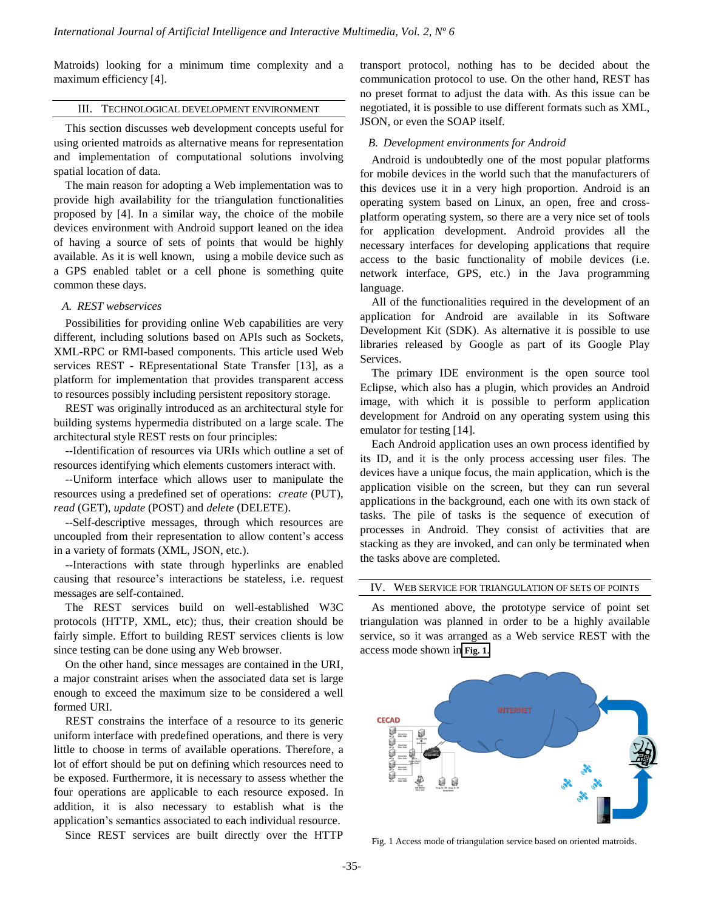Matroids) looking for a minimum time complexity and a maximum efficiency [4].

## III. TECHNOLOGICAL DEVELOPMENT ENVIRONMENT

This section discusses web development concepts useful for using oriented matroids as alternative means for representation and implementation of computational solutions involving spatial location of data.

The main reason for adopting a Web implementation was to provide high availability for the triangulation functionalities proposed by [4]. In a similar way, the choice of the mobile devices environment with Android support leaned on the idea of having a source of sets of points that would be highly available. As it is well known, using a mobile device such as a GPS enabled tablet or a cell phone is something quite common these days.

## *A. REST webservices*

Possibilities for providing online Web capabilities are very different, including solutions based on APIs such as Sockets, XML-RPC or RMI-based components. This article used Web services REST - REpresentational State Transfer [13], as a platform for implementation that provides transparent access to resources possibly including persistent repository storage.

REST was originally introduced as an architectural style for building systems hypermedia distributed on a large scale. The architectural style REST rests on four principles:

--Identification of resources via URIs which outline a set of resources identifying which elements customers interact with.

--Uniform interface which allows user to manipulate the resources using a predefined set of operations: *create* (PUT), *read* (GET), *update* (POST) and *delete* (DELETE).

--Self-descriptive messages, through which resources are uncoupled from their representation to allow content's access in a variety of formats (XML, JSON, etc.).

--Interactions with state through hyperlinks are enabled causing that resource's interactions be stateless, i.e. request messages are self-contained.

The REST services build on well-established W3C protocols (HTTP, XML, etc); thus, their creation should be fairly simple. Effort to building REST services clients is low since testing can be done using any Web browser.

On the other hand, since messages are contained in the URI, a major constraint arises when the associated data set is large enough to exceed the maximum size to be considered a well formed URI.

REST constrains the interface of a resource to its generic uniform interface with predefined operations, and there is very little to choose in terms of available operations. Therefore, a lot of effort should be put on defining which resources need to be exposed. Furthermore, it is necessary to assess whether the four operations are applicable to each resource exposed. In addition, it is also necessary to establish what is the application's semantics associated to each individual resource.

Since REST services are built directly over the HTTP

transport protocol, nothing has to be decided about the communication protocol to use. On the other hand, REST has no preset format to adjust the data with. As this issue can be negotiated, it is possible to use different formats such as XML, JSON, or even the SOAP itself.

## *B. Development environments for Android*

Android is undoubtedly one of the most popular platforms for mobile devices in the world such that the manufacturers of this devices use it in a very high proportion. Android is an operating system based on Linux, an open, free and crossplatform operating system, so there are a very nice set of tools for application development. Android provides all the necessary interfaces for developing applications that require access to the basic functionality of mobile devices (i.e. network interface, GPS, etc.) in the Java programming language.

All of the functionalities required in the development of an application for Android are available in its Software Development Kit (SDK). As alternative it is possible to use libraries released by Google as part of its Google Play Services.

The primary IDE environment is the open source tool Eclipse, which also has a plugin, which provides an Android image, with which it is possible to perform application development for Android on any operating system using this emulator for testing [14].

Each Android application uses an own process identified by its ID, and it is the only process accessing user files. The devices have a unique focus, the main application, which is the application visible on the screen, but they can run several applications in the background, each one with its own stack of tasks. The pile of tasks is the sequence of execution of processes in Android. They consist of activities that are stacking as they are invoked, and can only be terminated when the tasks above are completed.

## IV. WEB SERVICE FOR TRIANGULATION OF SETS OF POINTS

As mentioned above, the prototype service of point set triangulation was planned in order to be a highly available service, so it was arranged as a Web service REST with the access mode shown in **Fig. 1**.



Fig. 1 Access mode of triangulation service based on oriented matroids.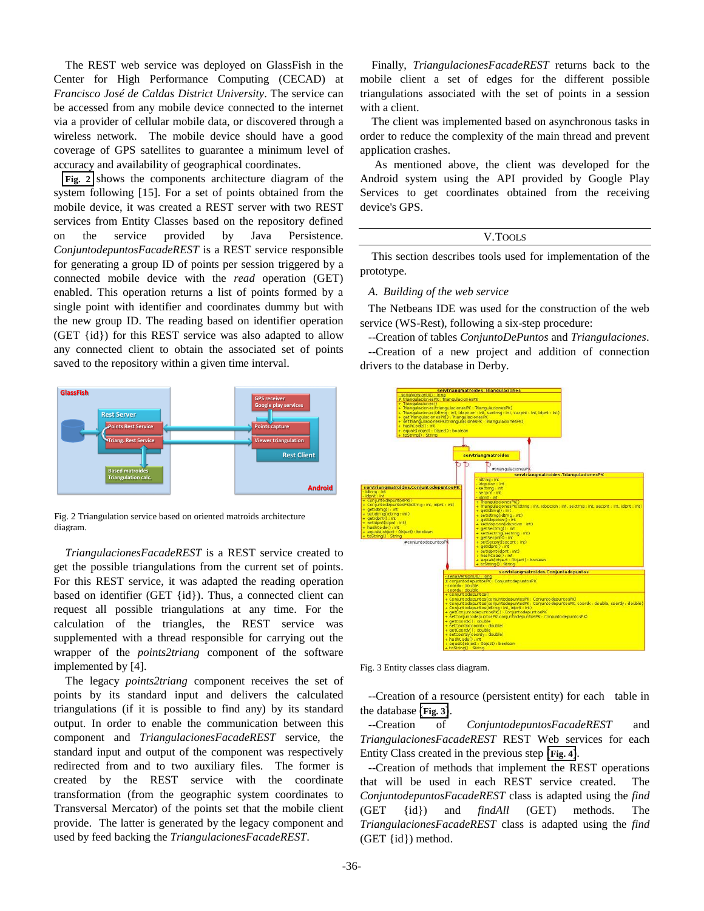The REST web service was deployed on GlassFish in the Center for High Performance Computing (CECAD) at *Francisco José de Caldas District University*. The service can be accessed from any mobile device connected to the internet via a provider of cellular mobile data, or discovered through a wireless network. The mobile device should have a good coverage of GPS satellites to guarantee a minimum level of accuracy and availability of geographical coordinates.

**Fig. 2** shows the components architecture diagram of the system following [15]. For a set of points obtained from the mobile device, it was created a REST server with two REST services from Entity Classes based on the repository defined on the service provided by Java Persistence. *ConjuntodepuntosFacadeREST* is a REST service responsible for generating a group ID of points per session triggered by a connected mobile device with the *read* operation (GET) enabled. This operation returns a list of points formed by a single point with identifier and coordinates dummy but with the new group ID. The reading based on identifier operation (GET {id}) for this REST service was also adapted to allow any connected client to obtain the associated set of points saved to the repository within a given time interval.



Fig. 2 Triangulation service based on oriented matroids architecture diagram.

*TriangulacionesFacadeREST* is a REST service created to get the possible triangulations from the current set of points. For this REST service, it was adapted the reading operation based on identifier (GET {id}). Thus, a connected client can request all possible triangulations at any time. For the calculation of the triangles, the REST service was supplemented with a thread responsible for carrying out the wrapper of the *points2triang* component of the software implemented by [4].

The legacy *points2triang* component receives the set of points by its standard input and delivers the calculated triangulations (if it is possible to find any) by its standard output. In order to enable the communication between this component and *TriangulacionesFacadeREST* service, the standard input and output of the component was respectively redirected from and to two auxiliary files. The former is created by the REST service with the coordinate transformation (from the geographic system coordinates to Transversal Mercator) of the points set that the mobile client provide. The latter is generated by the legacy component and used by feed backing the *TriangulacionesFacadeREST*. (Fig. 2) Triangulation service based on oriented matroids are<br>higher and the content of the possible triangulations from the current set of points,<br>and the possible triangulations from the current set of points,<br>and the po

Finally, *TriangulacionesFacadeREST* returns back to the mobile client a set of edges for the different possible triangulations associated with the set of points in a session with a client.

The client was implemented based on asynchronous tasks in order to reduce the complexity of the main thread and prevent application crashes.

As mentioned above, the client was developed for the Android system using the API provided by Google Play Services to get coordinates obtained from the receiving device's GPS.

## V.TOOLS

This section describes tools used for implementation of the prototype.

## *A. Building of the web service*

The Netbeans IDE was used for the construction of the web service (WS-Rest), following a six-step procedure:

--Creation of tables *ConjuntoDePuntos* and *Triangulaciones*.

--Creation of a new project and addition of connection drivers to the database in Derby.



Fig. 3 Entity classes class diagram.

--Creation of a resource (persistent entity) for each table in the database (**Fig. 3**).

--Creation of *ConjuntodepuntosFacadeREST* and *TriangulacionesFacadeREST* REST Web services for each Entity Class created in the previous step (**Fig. 4**).

--Creation of methods that implement the REST operations that will be used in each REST service created. The *ConjuntodepuntosFacadeREST* class is adapted using the *find* (GET {id}) and *findAll* (GET) methods. The *TriangulacionesFacadeREST* class is adapted using the *find*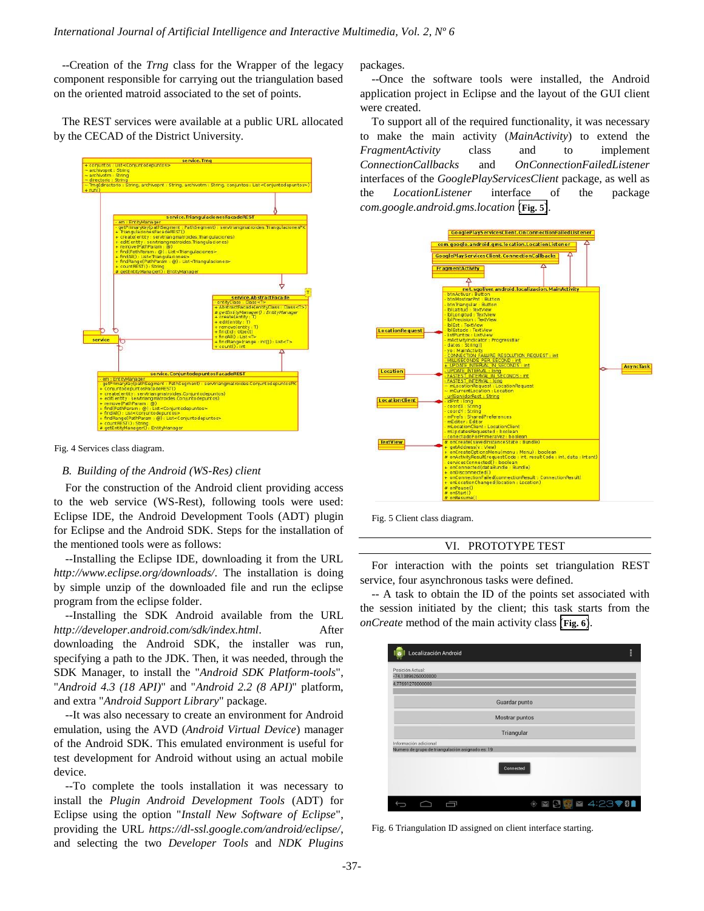--Creation of the *Trng* class for the Wrapper of the legacy component responsible for carrying out the triangulation based on the oriented matroid associated to the set of points.

The REST services were available at a public URL allocated by the CECAD of the District University.



Fig. 4 Services class diagram.

## *B. Building of the Android (WS-Res) client*

For the construction of the Android client providing access to the web service (WS-Rest), following tools were used: Eclipse IDE, the Android Development Tools (ADT) plugin for Eclipse and the Android SDK. Steps for the installation of the mentioned tools were as follows:

--Installing the Eclipse IDE, downloading it from the URL *http://www.eclipse.org/downloads/*. The installation is doing by simple unzip of the downloaded file and run the eclipse program from the eclipse folder.

--Installing the SDK Android available from the URL *http://developer.android.com/sdk/index.html*. After downloading the Android SDK, the installer was run, specifying a path to the JDK. Then, it was needed, through the SDK Manager, to install the "*Android SDK Platform-tools*", "*Android 4.3 (18 API)*" and "*Android 2.2 (8 API)*" platform, and extra "*Android Support Library*" package.

--It was also necessary to create an environment for Android emulation, using the AVD (*Android Virtual Device*) manager of the Android SDK. This emulated environment is useful for test development for Android without using an actual mobile device.

--To complete the tools installation it was necessary to install the *Plugin Android Development Tools* (ADT) for Eclipse using the option "*Install New Software of Eclipse*", providing the URL *https://dl-ssl.google.com/android/eclipse/*, and selecting the two *Developer Tools* and *NDK Plugins* packages.

--Once the software tools were installed, the Android application project in Eclipse and the layout of the GUI client were created.

To support all of the required functionality, it was necessary to make the main activity (*MainActivity*) to extend the *FragmentActivity* class and to implement *ConnectionCallbacks* and *OnConnectionFailedListener* interfaces of the *GooglePlayServicesClient* package, as well as the *LocationListener* interface of the package *com.google.android.gms.location* (**Fig. 5**).



Fig. 5 Client class diagram.

## VI. PROTOTYPE TEST

For interaction with the points set triangulation REST service, four asynchronous tasks were defined.

-- A task to obtain the ID of the points set associated with the session initiated by the client; this task starts from the *onCreate* method of the main activity class (**Fig. 6**).

| Localización Android                                                      |                | E         |
|---------------------------------------------------------------------------|----------------|-----------|
| Posición Actual:<br>$-74.13896260000000$                                  |                |           |
| 4,77691270000000                                                          |                |           |
|                                                                           | Guardar punto  |           |
|                                                                           | Mostrar puntos |           |
|                                                                           | Triangular     |           |
| Información adicional<br>Numero de grupo de triangulación asignado es: 19 |                |           |
|                                                                           | Connected      |           |
|                                                                           |                | ₩ 4:23781 |

Fig. 6 Triangulation ID assigned on client interface starting.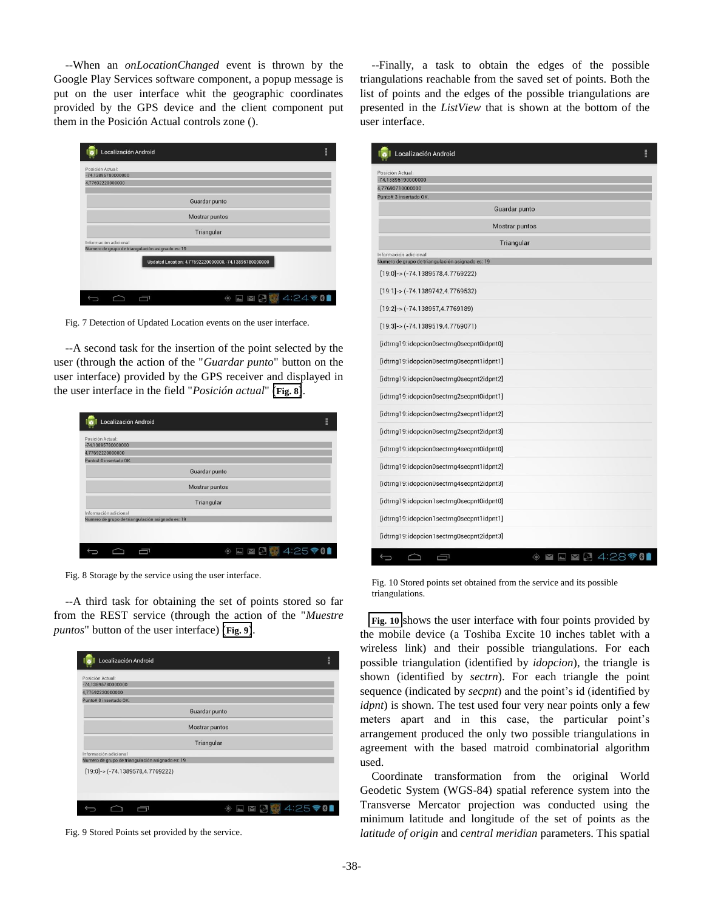--When an *onLocationChanged* event is thrown by the Google Play Services software component, a popup message is put on the user interface whit the geographic coordinates provided by the GPS device and the client component put them in the Posición Actual controls zone ().

| Localización Android                                                      | H |
|---------------------------------------------------------------------------|---|
| Posición Actual:                                                          |   |
| $-74,13895780000000$                                                      |   |
| 4,77692220000000                                                          |   |
| Guardar punto                                                             |   |
| Mostrar puntos                                                            |   |
| Triangular                                                                |   |
| Información adicional<br>Numero de grupo de triangulación asignado es: 19 |   |
| Updated Location: 4,77692220000000,-74,13895780000000                     |   |
| $4.24 \,$ $\circ$ 0<br>K. J                                               |   |

Fig. 7 Detection of Updated Location events on the user interface.

--A second task for the insertion of the point selected by the user (through the action of the "*Guardar punto*" button on the user interface) provided by the GPS receiver and displayed in the user interface in the field "*Posición actual*" (**Fig. 8**).

| Localización Android                                       | H |
|------------------------------------------------------------|---|
| Posición Actual:<br>-74,13895780000000<br>4,77692220000000 |   |
| Punto# 0 insertado OK.                                     |   |
| Guardar punto                                              |   |
| Mostrar puntos                                             |   |
| Triangular                                                 |   |
| Información adicional                                      |   |
| Numero de grupo de triangulación asignado es: 19           |   |
|                                                            |   |
| <b>642580</b>                                              |   |

Fig. 8 Storage by the service using the user interface.

--A third task for obtaining the set of points stored so far from the REST service (through the action of the "*Muestre puntos*" button of the user interface) (**Fig. 9**).

| Posición Actual:                                                          |                       |  |
|---------------------------------------------------------------------------|-----------------------|--|
| $-74.13895780000000$                                                      |                       |  |
| 4,77692220000000                                                          |                       |  |
| Punto# 0 insertado OK.                                                    |                       |  |
|                                                                           | Guardar punto         |  |
|                                                                           | <b>Mostrar puntos</b> |  |
|                                                                           | Triangular            |  |
| Información adicional<br>Numero de grupo de triangulación asignado es: 19 |                       |  |
| $[19:0]$ -> (-74.1389578,4.7769222)                                       |                       |  |
|                                                                           |                       |  |

Fig. 9 Stored Points set provided by the service.

--Finally, a task to obtain the edges of the possible triangulations reachable from the saved set of points. Both the list of points and the edges of the possible triangulations are presented in the *ListView* that is shown at the bottom of the user interface.

| Localización Android                                                      | H |
|---------------------------------------------------------------------------|---|
| Posición Actual:                                                          |   |
| $-74,13895190000000$<br>4,77690710000000                                  |   |
| Punto# 3 insertado OK.                                                    |   |
| Guardar punto                                                             |   |
| Mostrar puntos                                                            |   |
| Triangular                                                                |   |
| Información adicional<br>Numero de grupo de triangulación asignado es: 19 |   |
| $[19:0]$ -> (-74.1389578,4.7769222)                                       |   |
| $[19:1]$ -> (-74.1389742,4.7769532)                                       |   |
| $[19:2]$ -> (-74.138957,4.7769189)                                        |   |
| $[19:3]$ -> (-74.1389519,4.7769071)                                       |   |
| [idtrng19:idopcion0sectrng0secpnt0idpnt0]                                 |   |
| [idtrng19:idopcion0sectrng0secpnt1idpnt1]                                 |   |
| [idtrng19:idopcion0sectrng0secpnt2idpnt2]                                 |   |
| [idtrng19:idopcion0sectrng2secpnt0idpnt1]                                 |   |
| [idtrng19:idopcion0sectrng2secpnt1idpnt2]                                 |   |
| [idtrng19:idopcion0sectrng2secpnt2idpnt3]                                 |   |
| [idtrng19:idopcion0sectrng4secpnt0idpnt0]                                 |   |
| [idtrng19:idopcion0sectrng4secpnt1idpnt2]                                 |   |
| [idtrng19:idopcion0sectrng4secpnt2idpnt3]                                 |   |
| [idtrng19:idopcion1sectrng0secpnt0idpnt0]                                 |   |
| [idtrng19:idopcion1sectrng0secpnt1idpnt1]                                 |   |
| [idtrng19:idopcion1sectrng0secpnt2idpnt3]                                 |   |
| ۰<br>4:283<br>N                                                           |   |

Fig. 10 Stored points set obtained from the service and its possible triangulations.

**Fig. 10** shows the user interface with four points provided by the mobile device (a Toshiba Excite 10 inches tablet with a wireless link) and their possible triangulations. For each possible triangulation (identified by *idopcion*), the triangle is shown (identified by *sectrn*). For each triangle the point sequence (indicated by *secpnt*) and the point's id (identified by *idpnt*) is shown. The test used four very near points only a few meters apart and in this case, the particular point's arrangement produced the only two possible triangulations in agreement with the based matroid combinatorial algorithm used.

Coordinate transformation from the original World Geodetic System (WGS-84) spatial reference system into the Transverse Mercator projection was conducted using the minimum latitude and longitude of the set of points as the *latitude of origin* and *central meridian* parameters. This spatial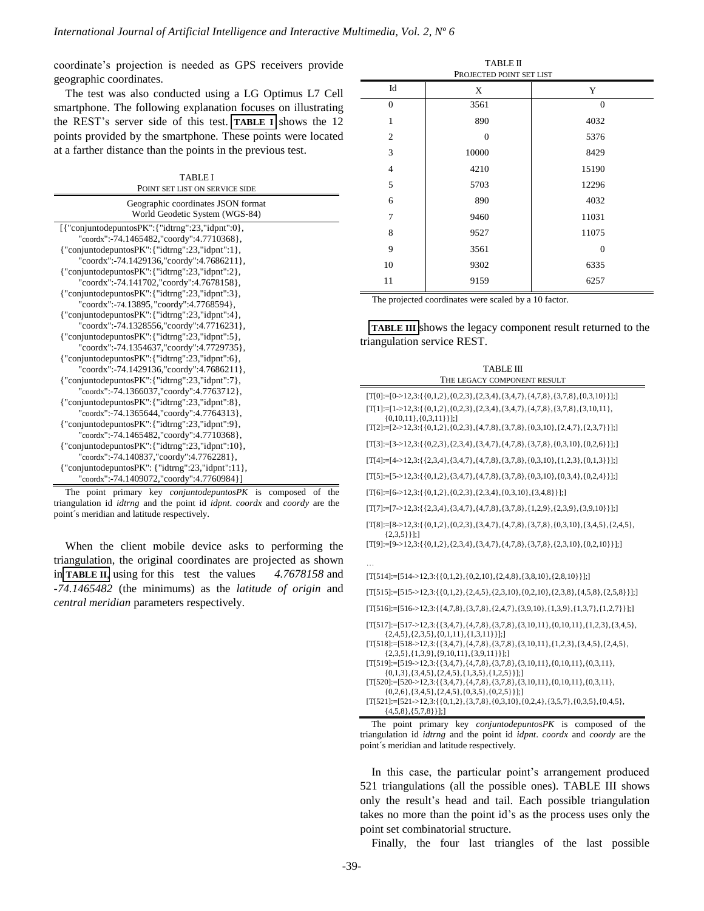coordinate's projection is needed as GPS receivers provide geographic coordinates.

The test was also conducted using a LG Optimus L7 Cell smartphone. The following explanation focuses on illustrating the REST's server side of this test. **TABLE I** shows the 12 points provided by the smartphone. These points were located at a farther distance than the points in the previous test.

| <b>TABLE I</b> |  |
|----------------|--|
|                |  |

| POINT SET LIST ON SERVICE SIDE                                       |
|----------------------------------------------------------------------|
| Geographic coordinates JSON format<br>World Geodetic System (WGS-84) |
| $[$ {"conjuntodepuntosPK":{"idtrng":23,"idpnt":0},                   |
| "coordx":-74.1465482,"coordy":4.7710368},                            |
| {"conjuntodepuntosPK": {"idtrng":23,"idpnt":1},                      |
| "coordx":-74.1429136,"coordy":4.7686211},                            |
| ${``conjuntodepuntosPK":{``idtrng":}23," idpnt":}2},$                |
| "coordx":-74.141702,"coordy":4.7678158},                             |
| ${``conjuntodepuntosPK":{``idtrng":}23,"idpnt":}3},$                 |
| "coordx":-74.13895, "coordy":4.7768594},                             |
| {"conjuntodepuntosPK": {"idtrng":23,"idpnt":4},                      |
| "coordx":-74.1328556,"coordy":4.7716231},                            |
| {"conjuntodepuntosPK": {"idtrng":23,"idpnt":5},                      |
| "coordx":-74.1354637,"coordy":4.7729735},                            |
| ${``conjuntodepuntosPK":} {``idtrng":} 23, {``idpnt":} 6},$          |
| "coordx":-74.1429136,"coordy":4.7686211},                            |
| ${``conjunto depuntosPK":{``idtrng":}23," idpnt":}7},$               |
| "coordx":-74.1366037,"coordy":4.7763712},                            |
| ${``conjuntodepuntosPK":{``idtrng":}23,"idpnt":8},$                  |
| "coordx":-74.1365644,"coordy":4.7764313},                            |
| {"conjuntodepuntosPK": {"idtrng":23,"idpnt":9},                      |
| "coordx":-74.1465482,"coordy":4.7710368},                            |
| ${``conjuntodepuntosPK":{``idtrng":}23",\n  'idpnt":}10{},$          |
| "coordx":-74.140837,"coordy":4.7762281},                             |
| {"conjuntodepuntos $PK$ ": {"idtrng":23,"idpnt":11},                 |
| "coordx":-74.1409072,"coordy":4.7760984}]                            |

The point primary key *conjuntodepuntosPK* is composed of the triangulation id *idtrng* and the point id *idpnt*. *coordx* and *coordy* are the point´s meridian and latitude respectively.

When the client mobile device asks to performing the triangulation, the original coordinates are projected as shown in **TABLE II**, using for this test the values *4.7678158* and *-74.1465482* (the minimums) as the *latitude of origin* and *central meridian* parameters respectively.

| <b>TABLE II</b><br>PROJECTED POINT SET LIST |              |          |  |
|---------------------------------------------|--------------|----------|--|
| Id                                          | X            | Y        |  |
| $\theta$                                    | 3561         | $\theta$ |  |
| 1                                           | 890          | 4032     |  |
| $\overline{c}$                              | $\mathbf{0}$ | 5376     |  |
| 3                                           | 10000        | 8429     |  |
| $\overline{4}$                              | 4210         | 15190    |  |
| 5                                           | 5703         | 12296    |  |
| 6                                           | 890          | 4032     |  |
| 7                                           | 9460         | 11031    |  |
| 8                                           | 9527         | 11075    |  |
| 9                                           | 3561         | $\theta$ |  |
| 10                                          | 9302         | 6335     |  |
| 11                                          | 9159         | 6257     |  |

The projected coordinates were scaled by a 10 factor.

**TABLE III** shows the legacy component result returned to the triangulation service REST.

| $[T[0]:=[0\rightarrow12,3:\{(0,1,2),\{0,2,3\},\{2,3,4\},\{3,4,7\},\{4,7,8\},\{3,7,8\},\{0,3,10\}\}];$<br>$[T[1] := [1 > 12, 3; \{0, 1, 2\}, \{0, 2, 3\}, \{2, 3, 4\}, \{3, 4, 7\}, \{4, 7, 8\}, \{3, 7, 8\}, \{3, 10, 11\},$<br>$\{0,10,11\}, \{0,3,11\}\}\;;$<br>$[T[2]:= [2 \rightarrow 12,3:\{ \{0,1,2\},\{0,2,3\},\{4,7,8\},\{3,7,8\},\{0,3,10\},\{2,4,7\},\{2,3,7\} \}];$<br>$[T[3]:=[3\rightarrow12,3:\{(0,2,3),\{2,3,4\},\{3,4,7\},\{4,7,8\},\{3,7,8\},\{0,3,10\},\{0,2,6\}\}];$<br>$[T[4] := [4 \rightarrow 12,3:\{(2,3,4),\{3,4,7\},\{4,7,8\},\{3,7,8\},\{0,3,10\},\{1,2,3\},\{0,1,3\} \}];$<br>$[T[5] := [5 \rightarrow 12, 3 \cdot \{ \{ 0, 1, 2 \}, \{ 3, 4, 7 \}, \{ 4, 7, 8 \}, \{ 3, 7, 8 \}, \{ 0, 3, 10 \}, \{ 0, 3, 4 \}, \{ 0, 2, 4 \} \}];$<br>$[T[6]:=[6->12,3;\{(0,1,2),\{0,2,3\},\{2,3,4\},\{0,3,10\},\{3,4,8\}\}];$<br>$[T[7]:=[7-12,3:\{(2,3,4),\{3,4,7\},\{4,7,8\},\{3,7,8\},\{1,2,9\},\{2,3,9\},\{3,9,10\}\}];$<br>$[T[8] := [8 \rightarrow 12,3; \{0,1,2\}, \{0,2,3\}, \{3,4,7\}, \{4,7,8\}, \{3,7,8\}, \{0,3,10\}, \{3,4,5\}, \{2,4,5\},$<br>${2,3,5}$ }}];]<br>$[T[9]:=]9->12,3:\{(0,1,2), (2,3,4), (3,4,7), (4,7,8), (3,7,8), (2,3,10), (0,2,10)\}$ ;<br>$[T[514] := [514 - 212, 3; \{0, 1, 2\}, \{0, 2, 10\}, \{2, 4, 8\}, \{3, 8, 10\}, \{2, 8, 10\}\}],$<br>$[T[515] := [515 - 12, 3; \{\{0, 1, 2\}, \{2, 4, 5\}, \{2, 3, 10\}, \{0, 2, 10\}, \{2, 3, 8\}, \{4, 5, 8\}, \{2, 5, 8\}\}]$ ;<br>$[T[516] := [516 - 512, 3; \{4, 7, 8\}, \{3, 7, 8\}, \{2, 4, 7\}, \{3, 9, 10\}, \{1, 3, 9\}, \{1, 3, 7\}, \{1, 2, 7\}\}]$ ;<br>$[T[517] := [517 - 512, 3; \{\{3, 4, 7\}, \{4, 7, 8\}, \{3, 7, 8\}, \{3, 10, 11\}, \{0, 10, 11\}, \{1, 2, 3\}, \{3, 4, 5\},$<br>${2,4,5}, {2,3,5}, {0,1,11}, {1,3,11}];$<br>$[T[518] := [518 - 212, 3; \{\{3, 4, 7\}, \{4, 7, 8\}, \{3, 7, 8\}, \{3, 10, 11\}, \{1, 2, 3\}, \{3, 4, 5\}, \{2, 4, 5\},$<br>${2,3,5}, {1,3,9}, {9,10,11}, {3,9,11}$ ];<br>$[T[519]:=[519->12,3:\{\{3,4,7\},\{4,7,8\},\{3,7,8\},\{3,10,11\},\{0,10,11\},\{0,3,11\},$<br>$\{0,1,3\}, \{3,4,5\}, \{2,4,5\}, \{1,3,5\}, \{1,2,5\}\};$<br>$[T[520]:=[520-12,3:\{\{3,4,7\},\{4,7,8\},\{3,7,8\},\{3,10,11\},\{0,10,11\},\{0,3,11\},$<br>$\{0,2,6\}, \{3,4,5\}, \{2,4,5\}, \{0,3,5\}, \{0,2,5\}\}\$<br>$[T[521]:=[521->12,3:\{(0,1,2),\{3,7,8\},\{0,3,10\},\{0,2,4\},\{3,5,7\},\{0,3,5\},\{0,4,5\},$ | <b>TABLE III</b><br>THE LEGACY COMPONENT RESULT |
|------------------------------------------------------------------------------------------------------------------------------------------------------------------------------------------------------------------------------------------------------------------------------------------------------------------------------------------------------------------------------------------------------------------------------------------------------------------------------------------------------------------------------------------------------------------------------------------------------------------------------------------------------------------------------------------------------------------------------------------------------------------------------------------------------------------------------------------------------------------------------------------------------------------------------------------------------------------------------------------------------------------------------------------------------------------------------------------------------------------------------------------------------------------------------------------------------------------------------------------------------------------------------------------------------------------------------------------------------------------------------------------------------------------------------------------------------------------------------------------------------------------------------------------------------------------------------------------------------------------------------------------------------------------------------------------------------------------------------------------------------------------------------------------------------------------------------------------------------------------------------------------------------------------------------------------------------------------------------------------------------------------------------------------------------------------------------------------------------------------------------------------------------------------------------------------------------------------------------------------------------------------------------------------------------------------------------------------|-------------------------------------------------|
|                                                                                                                                                                                                                                                                                                                                                                                                                                                                                                                                                                                                                                                                                                                                                                                                                                                                                                                                                                                                                                                                                                                                                                                                                                                                                                                                                                                                                                                                                                                                                                                                                                                                                                                                                                                                                                                                                                                                                                                                                                                                                                                                                                                                                                                                                                                                          |                                                 |
|                                                                                                                                                                                                                                                                                                                                                                                                                                                                                                                                                                                                                                                                                                                                                                                                                                                                                                                                                                                                                                                                                                                                                                                                                                                                                                                                                                                                                                                                                                                                                                                                                                                                                                                                                                                                                                                                                                                                                                                                                                                                                                                                                                                                                                                                                                                                          |                                                 |
|                                                                                                                                                                                                                                                                                                                                                                                                                                                                                                                                                                                                                                                                                                                                                                                                                                                                                                                                                                                                                                                                                                                                                                                                                                                                                                                                                                                                                                                                                                                                                                                                                                                                                                                                                                                                                                                                                                                                                                                                                                                                                                                                                                                                                                                                                                                                          |                                                 |
|                                                                                                                                                                                                                                                                                                                                                                                                                                                                                                                                                                                                                                                                                                                                                                                                                                                                                                                                                                                                                                                                                                                                                                                                                                                                                                                                                                                                                                                                                                                                                                                                                                                                                                                                                                                                                                                                                                                                                                                                                                                                                                                                                                                                                                                                                                                                          |                                                 |
|                                                                                                                                                                                                                                                                                                                                                                                                                                                                                                                                                                                                                                                                                                                                                                                                                                                                                                                                                                                                                                                                                                                                                                                                                                                                                                                                                                                                                                                                                                                                                                                                                                                                                                                                                                                                                                                                                                                                                                                                                                                                                                                                                                                                                                                                                                                                          |                                                 |
|                                                                                                                                                                                                                                                                                                                                                                                                                                                                                                                                                                                                                                                                                                                                                                                                                                                                                                                                                                                                                                                                                                                                                                                                                                                                                                                                                                                                                                                                                                                                                                                                                                                                                                                                                                                                                                                                                                                                                                                                                                                                                                                                                                                                                                                                                                                                          |                                                 |
|                                                                                                                                                                                                                                                                                                                                                                                                                                                                                                                                                                                                                                                                                                                                                                                                                                                                                                                                                                                                                                                                                                                                                                                                                                                                                                                                                                                                                                                                                                                                                                                                                                                                                                                                                                                                                                                                                                                                                                                                                                                                                                                                                                                                                                                                                                                                          |                                                 |
|                                                                                                                                                                                                                                                                                                                                                                                                                                                                                                                                                                                                                                                                                                                                                                                                                                                                                                                                                                                                                                                                                                                                                                                                                                                                                                                                                                                                                                                                                                                                                                                                                                                                                                                                                                                                                                                                                                                                                                                                                                                                                                                                                                                                                                                                                                                                          |                                                 |
|                                                                                                                                                                                                                                                                                                                                                                                                                                                                                                                                                                                                                                                                                                                                                                                                                                                                                                                                                                                                                                                                                                                                                                                                                                                                                                                                                                                                                                                                                                                                                                                                                                                                                                                                                                                                                                                                                                                                                                                                                                                                                                                                                                                                                                                                                                                                          |                                                 |
|                                                                                                                                                                                                                                                                                                                                                                                                                                                                                                                                                                                                                                                                                                                                                                                                                                                                                                                                                                                                                                                                                                                                                                                                                                                                                                                                                                                                                                                                                                                                                                                                                                                                                                                                                                                                                                                                                                                                                                                                                                                                                                                                                                                                                                                                                                                                          |                                                 |
|                                                                                                                                                                                                                                                                                                                                                                                                                                                                                                                                                                                                                                                                                                                                                                                                                                                                                                                                                                                                                                                                                                                                                                                                                                                                                                                                                                                                                                                                                                                                                                                                                                                                                                                                                                                                                                                                                                                                                                                                                                                                                                                                                                                                                                                                                                                                          |                                                 |
|                                                                                                                                                                                                                                                                                                                                                                                                                                                                                                                                                                                                                                                                                                                                                                                                                                                                                                                                                                                                                                                                                                                                                                                                                                                                                                                                                                                                                                                                                                                                                                                                                                                                                                                                                                                                                                                                                                                                                                                                                                                                                                                                                                                                                                                                                                                                          |                                                 |
|                                                                                                                                                                                                                                                                                                                                                                                                                                                                                                                                                                                                                                                                                                                                                                                                                                                                                                                                                                                                                                                                                                                                                                                                                                                                                                                                                                                                                                                                                                                                                                                                                                                                                                                                                                                                                                                                                                                                                                                                                                                                                                                                                                                                                                                                                                                                          |                                                 |
|                                                                                                                                                                                                                                                                                                                                                                                                                                                                                                                                                                                                                                                                                                                                                                                                                                                                                                                                                                                                                                                                                                                                                                                                                                                                                                                                                                                                                                                                                                                                                                                                                                                                                                                                                                                                                                                                                                                                                                                                                                                                                                                                                                                                                                                                                                                                          |                                                 |
|                                                                                                                                                                                                                                                                                                                                                                                                                                                                                                                                                                                                                                                                                                                                                                                                                                                                                                                                                                                                                                                                                                                                                                                                                                                                                                                                                                                                                                                                                                                                                                                                                                                                                                                                                                                                                                                                                                                                                                                                                                                                                                                                                                                                                                                                                                                                          |                                                 |
|                                                                                                                                                                                                                                                                                                                                                                                                                                                                                                                                                                                                                                                                                                                                                                                                                                                                                                                                                                                                                                                                                                                                                                                                                                                                                                                                                                                                                                                                                                                                                                                                                                                                                                                                                                                                                                                                                                                                                                                                                                                                                                                                                                                                                                                                                                                                          |                                                 |
|                                                                                                                                                                                                                                                                                                                                                                                                                                                                                                                                                                                                                                                                                                                                                                                                                                                                                                                                                                                                                                                                                                                                                                                                                                                                                                                                                                                                                                                                                                                                                                                                                                                                                                                                                                                                                                                                                                                                                                                                                                                                                                                                                                                                                                                                                                                                          |                                                 |
|                                                                                                                                                                                                                                                                                                                                                                                                                                                                                                                                                                                                                                                                                                                                                                                                                                                                                                                                                                                                                                                                                                                                                                                                                                                                                                                                                                                                                                                                                                                                                                                                                                                                                                                                                                                                                                                                                                                                                                                                                                                                                                                                                                                                                                                                                                                                          |                                                 |
|                                                                                                                                                                                                                                                                                                                                                                                                                                                                                                                                                                                                                                                                                                                                                                                                                                                                                                                                                                                                                                                                                                                                                                                                                                                                                                                                                                                                                                                                                                                                                                                                                                                                                                                                                                                                                                                                                                                                                                                                                                                                                                                                                                                                                                                                                                                                          |                                                 |
|                                                                                                                                                                                                                                                                                                                                                                                                                                                                                                                                                                                                                                                                                                                                                                                                                                                                                                                                                                                                                                                                                                                                                                                                                                                                                                                                                                                                                                                                                                                                                                                                                                                                                                                                                                                                                                                                                                                                                                                                                                                                                                                                                                                                                                                                                                                                          |                                                 |
|                                                                                                                                                                                                                                                                                                                                                                                                                                                                                                                                                                                                                                                                                                                                                                                                                                                                                                                                                                                                                                                                                                                                                                                                                                                                                                                                                                                                                                                                                                                                                                                                                                                                                                                                                                                                                                                                                                                                                                                                                                                                                                                                                                                                                                                                                                                                          | ${4,5,8}, {5,7,8}$ }};                          |

The point primary key *conjuntodepuntosPK* is composed of the triangulation id *idtrng* and the point id *idpnt*. *coordx* and *coordy* are the point´s meridian and latitude respectively.

In this case, the particular point's arrangement produced 521 triangulations (all the possible ones). TABLE III shows only the result's head and tail. Each possible triangulation takes no more than the point id's as the process uses only the point set combinatorial structure.

Finally, the four last triangles of the last possible